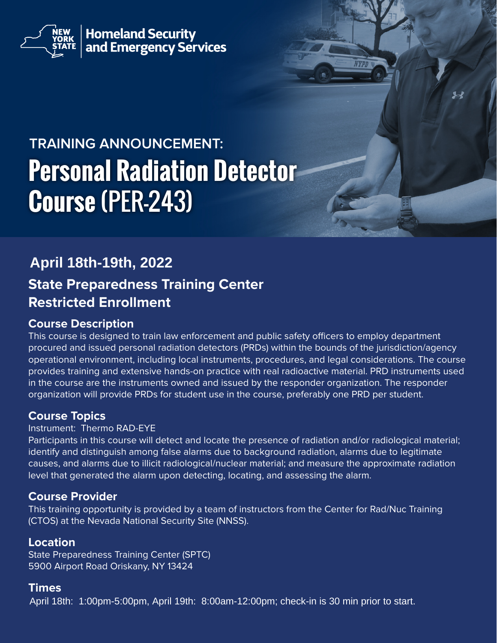

**Homeland Security<br>and Emergency Services** 

# **TRAINING ANNOUNCEMENT: Personal Radiation Detector Course** (PER-243)

# **State Preparedness Training Center Restricted Enrollment April 18th-19th, 2022**

# **Course Description**

This course is designed to train law enforcement and public safety officers to employ department procured and issued personal radiation detectors (PRDs) within the bounds of the jurisdiction/agency operational environment, including local instruments, procedures, and legal considerations. The course provides training and extensive hands-on practice with real radioactive material. PRD instruments used in the course are the instruments owned and issued by the responder organization. The responder organization will provide PRDs for student use in the course, preferably one PRD per student.

# **Course Topics**

#### Instrument: Thermo RAD-EYE

Participants in this course will detect and locate the presence of radiation and/or radiological material; identify and distinguish among false alarms due to background radiation, alarms due to legitimate causes, and alarms due to illicit radiological/nuclear material; and measure the approximate radiation level that generated the alarm upon detecting, locating, and assessing the alarm.

# **Course Provider**

This training opportunity is provided by a team of instructors from the Center for Rad/Nuc Training (CTOS) at the Nevada National Security Site (NNSS).

# **Location**

State Preparedness Training Center (SPTC) 5900 Airport Road Oriskany, NY 13424

# **Times**

April 18th: 1:00pm-5:00pm, April 19th: 8:00am-12:00pm; check-in is 30 min prior to start.